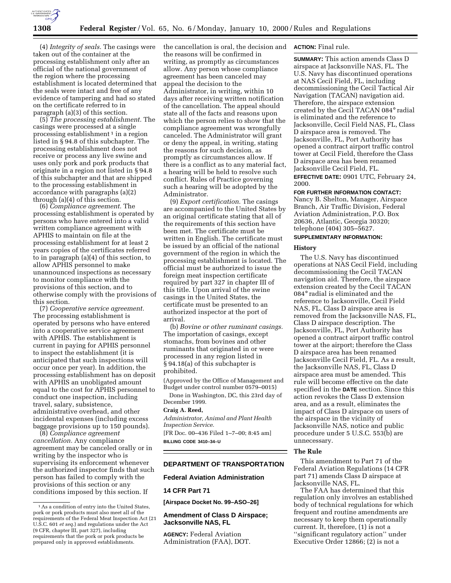

(4) *Integrity of seals.* The casings were taken out of the container at the processing establishment only after an official of the national government of the region where the processing establishment is located determined that the seals were intact and free of any evidence of tampering and had so stated on the certificate referred to in paragraph (a)(3) of this section.

(5) *The processing establishment.* The casings were processed at a single processing establishment<sup>1</sup> in a region listed in § 94.8 of this subchapter. The processing establishment does not receive or process any live swine and uses only pork and pork products that originate in a region not listed in § 94.8 of this subchapter and that are shipped to the processing establishment in accordance with paragraphs (a)(2) through (a)(4) of this section.

(6) *Compliance agreement.* The processing establishment is operated by persons who have entered into a valid written compliance agreement with APHIS to maintain on file at the processing establishment for at least 2 years copies of the certificates referred to in paragraph (a)(4) of this section, to allow APHIS personnel to make unannounced inspections as necessary to monitor compliance with the provisions of this section, and to otherwise comply with the provisions of this section.

(7) *Cooperative service agreement.* The processing establishment is operated by persons who have entered into a cooperative service agreement with APHIS. The establishment is current in paying for APHIS personnel to inspect the establishment (it is anticipated that such inspections will occur once per year). In addition, the processing establishment has on deposit with APHIS an unobligated amount equal to the cost for APHIS personnel to conduct one inspection, including travel, salary, subsistence, administrative overhead, and other incidental expenses (including excess baggage provisions up to 150 pounds).

(8) *Compliance agreement cancellation.* Any compliance agreement may be canceled orally or in writing by the inspector who is supervising its enforcement whenever the authorized inspector finds that such person has failed to comply with the provisions of this section or any conditions imposed by this section. If

the cancellation is oral, the decision and the reasons will be confirmed in writing, as promptly as circumstances allow. Any person whose compliance agreement has been canceled may appeal the decision to the Administrator, in writing, within 10 days after receiving written notification of the cancellation. The appeal should state all of the facts and reasons upon which the person relies to show that the compliance agreement was wrongfully canceled. The Administrator will grant or deny the appeal, in writing, stating the reasons for such decision, as promptly as circumstances allow. If there is a conflict as to any material fact, a hearing will be held to resolve such conflict. Rules of Practice governing such a hearing will be adopted by the Administrator.

(9) *Export certification.* The casings are accompanied to the United States by an original certificate stating that all of the requirements of this section have been met. The certificate must be written in English. The certificate must be issued by an official of the national government of the region in which the processing establishment is located. The official must be authorized to issue the foreign meat inspection certificate required by part 327 in chapter III of this title. Upon arrival of the swine casings in the United States, the certificate must be presented to an authorized inspector at the port of arrival.

(b) *Bovine or other ruminant casings.* The importation of casings, except stomachs, from bovines and other ruminants that originated in or were processed in any region listed in § 94.18(a) of this subchapter is prohibited.

(Approved by the Office of Management and Budget under control number 0579–0015)

Done in Washington, DC, this 23rd day of December 1999.

### **Craig A. Reed,**

*Administrator, Animal and Plant Health Inspection Service.*

[FR Doc. 00–436 Filed 1–7–00; 8:45 am] **BILLING CODE 3410–34–U**

# **DEPARTMENT OF TRANSPORTATION**

# **Federal Aviation Administration**

## **14 CFR Part 71**

**[Airspace Docket No. 99–ASO–26]**

## **Amendment of Class D Airspace; Jacksonville NAS, FL**

**AGENCY:** Federal Aviation Administration (FAA), DOT.

## **ACTION:** Final rule.

**SUMMARY:** This action amends Class D airspace at Jacksonville NAS, FL. The U.S. Navy has discontinued operations at NAS Cecil Field, FL, including decommissioning the Cecil Tactical Air Navigation (TACAN) navigation aid. Therefore, the airspace extension created by the Cecil TACAN 084° radial is eliminated and the reference to Jacksonville, Cecil Field NAS, FL, Class D airspace area is removed. The Jacksonville, FL, Port Authority has opened a contract airport traffic control tower at Cecil Field, therefore the Class D airspace area has been renamed Jacksonville Cecil Field, FL. **EFFECTIVE DATE:** 0901 UTC, February 24, 2000.

## **FOR FURTHER INFORMATION CONTACT:**

Nancy B. Shelton, Manager, Airspace Branch, Air Traffic Division, Federal Aviation Administration, P.O. Box 20636, Atlantic, Georgia 30320; telephone (404) 305–5627.

# **SUPPLEMENTARY INFORMATION:**

#### **History**

The U.S. Navy has discontinued operations at NAS Cecil Field, including decommissioning the Cecil TACAN navigation aid. Therefore, the airspace extension created by the Cecil TACAN 084° radial is eliminated and the reference to Jacksonville, Cecil Field NAS, FL, Class D airspace area is removed from the Jacksonville NAS, FL, Class D airspace description. The Jacksonville, FL, Port Authority has opened a contract airport traffic control tower at the airport; therefore the Class D airspace area has been renamed Jacksonville Cecil Field, FL. As a result, the Jacksonville NAS, FL, Class D airspace area must be amended. This rule will become effective on the date specified in the **DATE** section. Since this action revokes the Class D extension area, and as a result, eliminates the impact of Class D airspace on users of the airspace in the vicinity of Jacksonville NAS, notice and public procedure under 5 U.S.C. 553(b) are unnecessary.

### **The Rule**

This amendment to Part 71 of the Federal Aviation Regulations (14 CFR part 71) amends Class D airspace at Jacksonville NAS, FL.

The FAA has determined that this regulation only involves an established body of technical regulations for which frequent and routine amendments are necessary to keep them operationally current. It, therefore, (1) is not a ''significant regulatory action'' under Executive Order 12866; (2) is not a

<sup>1</sup>As a condition of entry into the United States, pork or pork products must also meet all of the requirements of the Federal Meat Inspection Act (21 U.S.C. 601 *et seq.*) and regulations under the Act (9 CFR, chapter III, part 327), including requirements that the pork or pork products be prepared only in approved establishments.